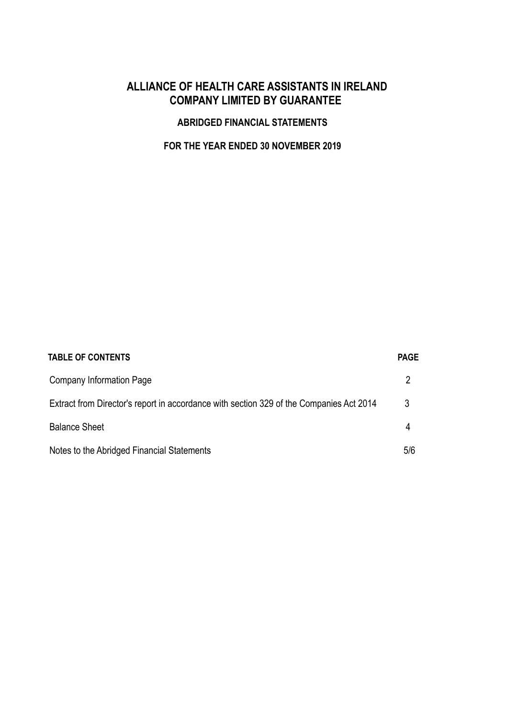# ALLIANCE OF HEALTH CARE ASSISTANTS IN IRELAND COMPANY LIMITED BY GUARANTEE

### ABRIDGED FINANCIAL STATEMENTS

# FOR THE YEAR ENDED 30 NOVEMBER 2019

| <b>TABLE OF CONTENTS</b>                                                                | <b>PAGE</b> |
|-----------------------------------------------------------------------------------------|-------------|
| <b>Company Information Page</b>                                                         |             |
| Extract from Director's report in accordance with section 329 of the Companies Act 2014 | 3           |
| <b>Balance Sheet</b>                                                                    | 4           |
| Notes to the Abridged Financial Statements                                              | 5/6         |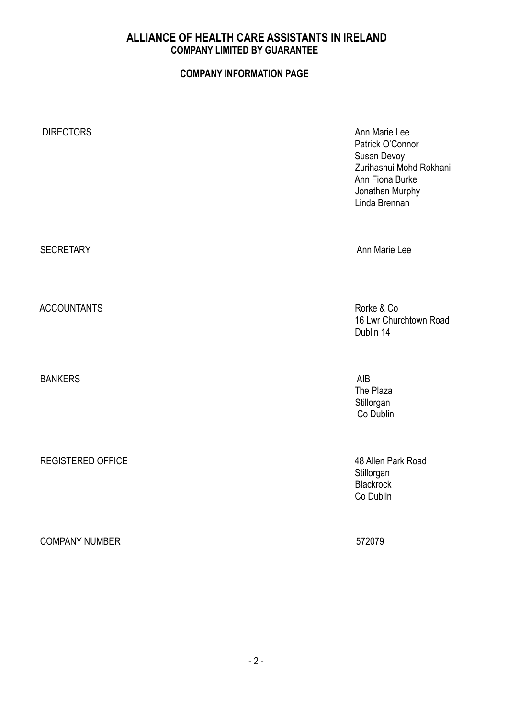## ALLIANCE OF HEALTH CARE ASSISTANTS IN IRELAND COMPANY LIMITED BY GUARANTEE

## COMPANY INFORMATION PAGE

| <b>DIRECTORS</b>         | Ann Marie Lee<br>Patrick O'Connor<br>Susan Devoy<br>Zurihasnui Mohd Rokhani<br>Ann Fiona Burke<br>Jonathan Murphy<br>Linda Brennan |
|--------------------------|------------------------------------------------------------------------------------------------------------------------------------|
| <b>SECRETARY</b>         | Ann Marie Lee                                                                                                                      |
| <b>ACCOUNTANTS</b>       | Rorke & Co<br>16 Lwr Churchtown Road<br>Dublin 14                                                                                  |
| <b>BANKERS</b>           | AIB<br>The Plaza<br>Stillorgan<br>Co Dublin                                                                                        |
| <b>REGISTERED OFFICE</b> | 48 Allen Park Road<br>Stillorgan<br><b>Blackrock</b><br>Co Dublin                                                                  |

COMPANY NUMBER 572079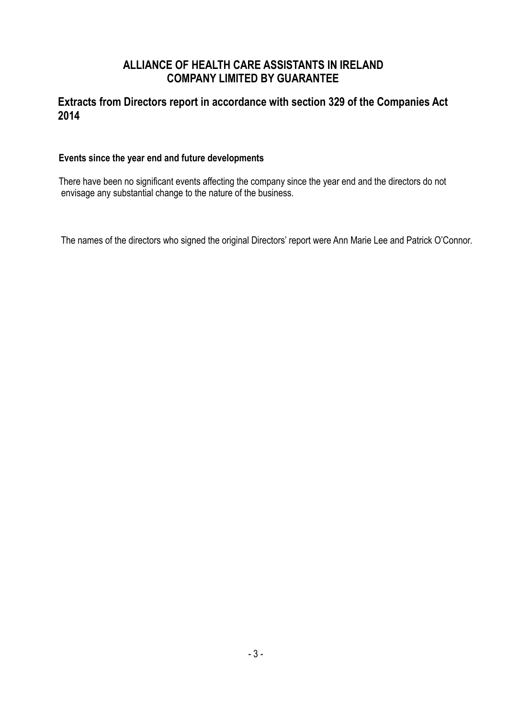# ALLIANCE OF HEALTH CARE ASSISTANTS IN IRELAND COMPANY LIMITED BY GUARANTEE

# Extracts from Directors report in accordance with section 329 of the Companies Act 2014

### Events since the year end and future developments

 There have been no significant events affecting the company since the year end and the directors do not envisage any substantial change to the nature of the business.

The names of the directors who signed the original Directors' report were Ann Marie Lee and Patrick O'Connor.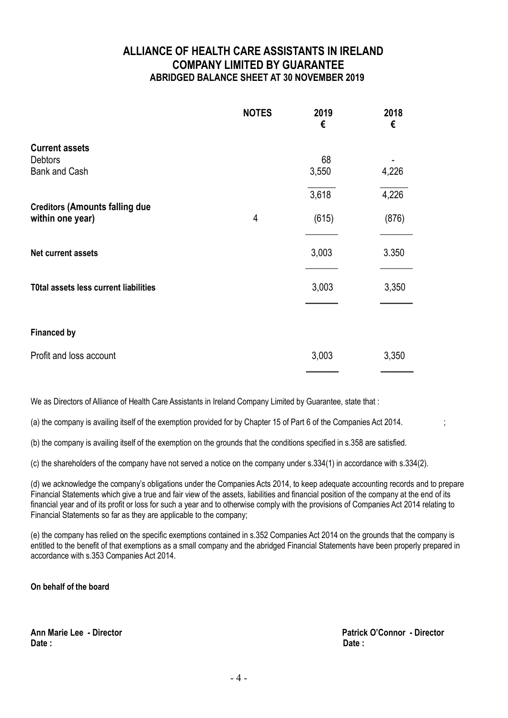## ALLIANCE OF HEALTH CARE ASSISTANTS IN IRELAND COMPANY LIMITED BY GUARANTEE ABRIDGED BALANCE SHEET AT 30 NOVEMBER 2019

|                                                           | <b>NOTES</b> | 2019<br>€      | 2018<br>€      |
|-----------------------------------------------------------|--------------|----------------|----------------|
| <b>Current assets</b><br>Debtors<br><b>Bank and Cash</b>  |              | 68<br>3,550    | 4,226          |
| <b>Creditors (Amounts falling due</b><br>within one year) | 4            | 3,618<br>(615) | 4,226<br>(876) |
| <b>Net current assets</b>                                 |              | 3,003          | 3.350          |
| T0tal assets less current liabilities                     |              | 3,003          | 3,350          |
| <b>Financed by</b>                                        |              |                |                |
| Profit and loss account                                   |              | 3,003          | 3,350          |

We as Directors of Alliance of Health Care Assistants in Ireland Company Limited by Guarantee, state that :

(a) the company is availing itself of the exemption provided for by Chapter 15 of Part 6 of the Companies Act 2014.

(b) the company is availing itself of the exemption on the grounds that the conditions specified in s.358 are satisfied.

(c) the shareholders of the company have not served a notice on the company under s.334(1) in accordance with s.334(2).

(d) we acknowledge the company's obligations under the Companies Acts 2014, to keep adequate accounting records and to prepare Financial Statements which give a true and fair view of the assets, liabilities and financial position of the company at the end of its financial year and of its profit or loss for such a year and to otherwise comply with the provisions of Companies Act 2014 relating to Financial Statements so far as they are applicable to the company;

(e) the company has relied on the specific exemptions contained in s.352 Companies Act 2014 on the grounds that the company is entitled to the benefit of that exemptions as a small company and the abridged Financial Statements have been properly prepared in accordance with s.353 Companies Act 2014.

On behalf of the board

Date : Date : Date : Date : Date : Date : Date : Date : Date : Date : Date : Date : Date : Date : Date : Date :  $\mathsf{D}$ 

Ann Marie Lee - Director Patrick O'Connor - Director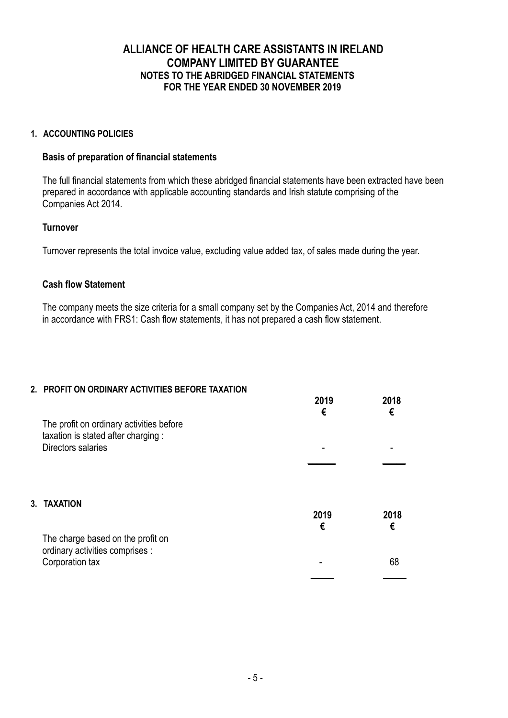## ALLIANCE OF HEALTH CARE ASSISTANTS IN IRELAND COMPANY LIMITED BY GUARANTEE NOTES TO THE ABRIDGED FINANCIAL STATEMENTS FOR THE YEAR ENDED 30 NOVEMBER 2019

### 1. ACCOUNTING POLICIES

### Basis of preparation of financial statements

 The full financial statements from which these abridged financial statements have been extracted have been prepared in accordance with applicable accounting standards and Irish statute comprising of the Companies Act 2014.

### **Turnover**

Turnover represents the total invoice value, excluding value added tax, of sales made during the year.

### Cash flow Statement

 The company meets the size criteria for a small company set by the Companies Act, 2014 and therefore in accordance with FRS1: Cash flow statements, it has not prepared a cash flow statement.

#### 2. PROFIT ON ORDINARY ACTIVITIES BEFORE TAXATION

|                                                                                                      | 2019<br>€ | 2018<br>€ |
|------------------------------------------------------------------------------------------------------|-----------|-----------|
| The profit on ordinary activities before<br>taxation is stated after charging:<br>Directors salaries |           |           |
|                                                                                                      |           |           |
| 3. TAXATION                                                                                          | 2019<br>€ | 2018<br>€ |
| The charge based on the profit on<br>ordinary activities comprises :<br>Corporation tax              |           | 68        |
|                                                                                                      |           |           |